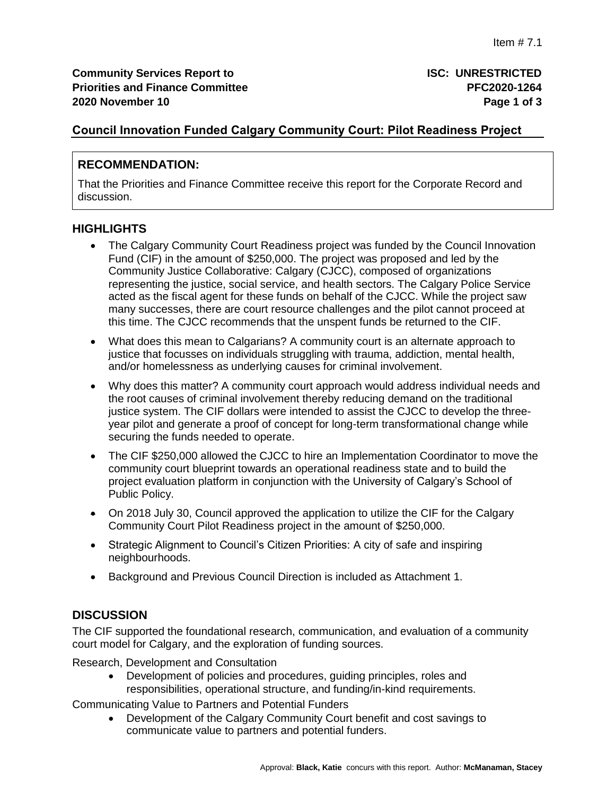## **Council Innovation Funded Calgary Community Court: Pilot Readiness Project**

## **RECOMMENDATION:**

That the Priorities and Finance Committee receive this report for the Corporate Record and discussion.

## **HIGHLIGHTS**

- The Calgary Community Court Readiness project was funded by the Council Innovation Fund (CIF) in the amount of \$250,000. The project was proposed and led by the Community Justice Collaborative: Calgary (CJCC), composed of organizations representing the justice, social service, and health sectors. The Calgary Police Service acted as the fiscal agent for these funds on behalf of the CJCC. While the project saw many successes, there are court resource challenges and the pilot cannot proceed at this time. The CJCC recommends that the unspent funds be returned to the CIF.
- What does this mean to Calgarians? A community court is an alternate approach to justice that focusses on individuals struggling with trauma, addiction, mental health, and/or homelessness as underlying causes for criminal involvement.
- Why does this matter? A community court approach would address individual needs and the root causes of criminal involvement thereby reducing demand on the traditional justice system. The CIF dollars were intended to assist the CJCC to develop the threeyear pilot and generate a proof of concept for long-term transformational change while securing the funds needed to operate.
- The CIF \$250,000 allowed the CJCC to hire an Implementation Coordinator to move the community court blueprint towards an operational readiness state and to build the project evaluation platform in conjunction with the University of Calgary's School of Public Policy.
- On 2018 July 30, Council approved the application to utilize the CIF for the Calgary Community Court Pilot Readiness project in the amount of \$250,000.
- Strategic Alignment to Council's Citizen Priorities: A city of safe and inspiring neighbourhoods.
- Background and Previous Council Direction is included as Attachment 1.

## **DISCUSSION**

The CIF supported the foundational research, communication, and evaluation of a community court model for Calgary, and the exploration of funding sources.

Research, Development and Consultation

 Development of policies and procedures, guiding principles, roles and responsibilities, operational structure, and funding/in-kind requirements.

Communicating Value to Partners and Potential Funders

 Development of the Calgary Community Court benefit and cost savings to communicate value to partners and potential funders.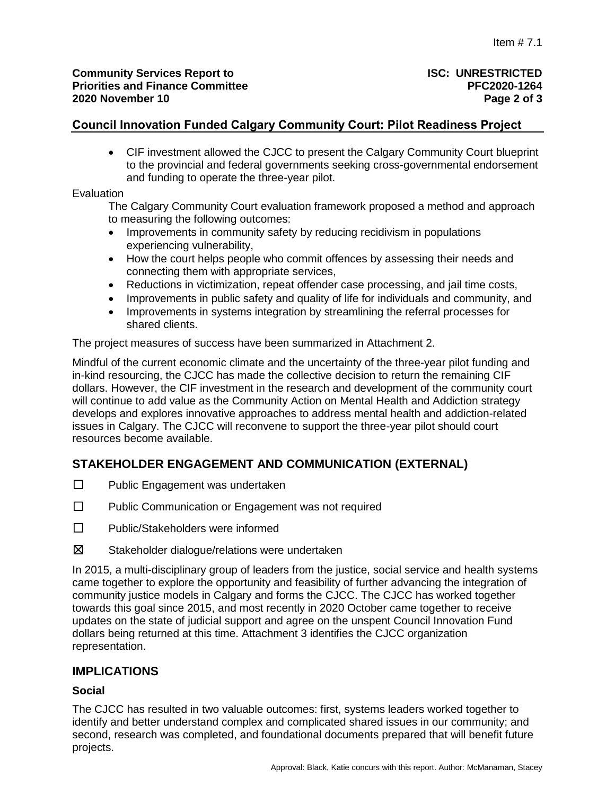## **Council Innovation Funded Calgary Community Court: Pilot Readiness Project**

 CIF investment allowed the CJCC to present the Calgary Community Court blueprint to the provincial and federal governments seeking cross-governmental endorsement and funding to operate the three-year pilot.

#### Evaluation

The Calgary Community Court evaluation framework proposed a method and approach to measuring the following outcomes:

- Improvements in community safety by reducing recidivism in populations experiencing vulnerability,
- How the court helps people who commit offences by assessing their needs and connecting them with appropriate services,
- Reductions in victimization, repeat offender case processing, and jail time costs,
- Improvements in public safety and quality of life for individuals and community, and
- Improvements in systems integration by streamlining the referral processes for shared clients.

The project measures of success have been summarized in Attachment 2.

Mindful of the current economic climate and the uncertainty of the three-year pilot funding and in-kind resourcing, the CJCC has made the collective decision to return the remaining CIF dollars. However, the CIF investment in the research and development of the community court will continue to add value as the Community Action on Mental Health and Addiction strategy develops and explores innovative approaches to address mental health and addiction-related issues in Calgary. The CJCC will reconvene to support the three-year pilot should court resources become available.

# **STAKEHOLDER ENGAGEMENT AND COMMUNICATION (EXTERNAL)**

- ☐ Public Engagement was undertaken
- ☐ Public Communication or Engagement was not required
- ☐ Public/Stakeholders were informed
- $\boxtimes$  Stakeholder dialogue/relations were undertaken

In 2015, a multi-disciplinary group of leaders from the justice, social service and health systems came together to explore the opportunity and feasibility of further advancing the integration of community justice models in Calgary and forms the CJCC. The CJCC has worked together towards this goal since 2015, and most recently in 2020 October came together to receive updates on the state of judicial support and agree on the unspent Council Innovation Fund dollars being returned at this time. Attachment 3 identifies the CJCC organization representation.

## **IMPLICATIONS**

#### **Social**

The CJCC has resulted in two valuable outcomes: first, systems leaders worked together to identify and better understand complex and complicated shared issues in our community; and second, research was completed, and foundational documents prepared that will benefit future projects.